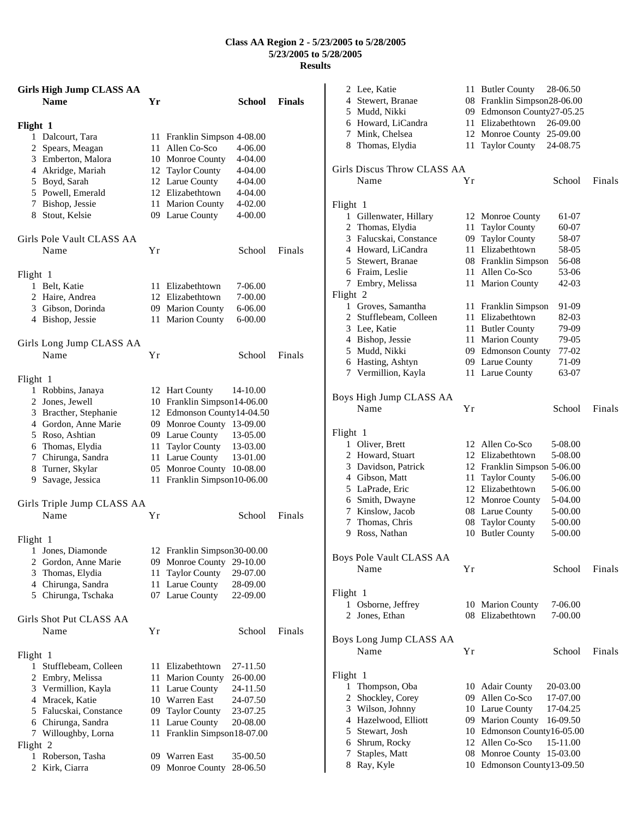## **Class AA Region 2 - 5/23/2005 to 5/28/2005 5/23/2005 to 5/28/2005 Results**

| <b>Girls High Jump CLASS AA</b><br><b>Name</b> | Yr |                             | School      | <b>Finals</b> |
|------------------------------------------------|----|-----------------------------|-------------|---------------|
| Flight 1                                       |    |                             |             |               |
| 1 Dalcourt, Tara                               |    | 11 Franklin Simpson 4-08.00 |             |               |
| 2 Spears, Meagan                               |    | 11 Allen Co-Sco             | $4 - 06.00$ |               |
| 3 Emberton, Malora                             |    | 10 Monroe County            | 4-04.00     |               |
| 4 Akridge, Mariah                              |    | 12 Taylor County            | 4-04.00     |               |
| 5 Boyd, Sarah                                  |    | 12 Larue County             | 4-04.00     |               |
| 5 Powell, Emerald                              |    | 12 Elizabethtown            | 4-04.00     |               |
| 7 Bishop, Jessie                               |    | 11 Marion County            | 4-02.00     |               |
| 8 Stout, Kelsie                                |    | 09 Larue County             | 4-00.00     |               |
| Girls Pole Vault CLASS AA                      |    |                             |             |               |
| Name                                           | Υr |                             | School      | Finals        |
| Flight 1                                       |    |                             |             |               |
| 1 Belt, Katie                                  |    | 11 Elizabethtown            | 7-06.00     |               |
| 2 Haire, Andrea                                |    | 12 Elizabethtown            | 7-00.00     |               |
| 3 Gibson, Dorinda                              |    | 09 Marion County            | 6-06.00     |               |
| 4 Bishop, Jessie                               |    | 11 Marion County            | $6 - 00.00$ |               |
| Girls Long Jump CLASS AA                       |    |                             |             |               |
| Name                                           | Υr |                             | School      | Finals        |
| Flight 1                                       |    |                             |             |               |
| 1 Robbins, Janaya                              |    | 12 Hart County              | 14-10.00    |               |
| 2 Jones, Jewell                                |    | 10 Franklin Simpson14-06.00 |             |               |
| 3 Bracther, Stephanie                          |    | 12 Edmonson County14-04.50  |             |               |
| 4 Gordon, Anne Marie                           |    | 09 Monroe County            | 13-09.00    |               |
| 5 Roso, Ashtian                                |    | 09 Larue County             | 13-05.00    |               |
| 6 Thomas, Elydia                               |    | 11 Taylor County            | 13-03.00    |               |
| 7 Chirunga, Sandra                             |    | 11 Larue County             | 13-01.00    |               |
| 8 Turner, Skylar                               |    | 05 Monroe County 10-08.00   |             |               |
| 9 Savage, Jessica                              | 11 | Franklin Simpson10-06.00    |             |               |
| Girls Triple Jump CLASS AA                     |    |                             |             |               |
| Name                                           | Υr |                             | School      | Finals        |
| Flight 1                                       |    |                             |             |               |
| Jones, Diamonde<br>1                           |    | 12 Franklin Simpson30-00.00 |             |               |
| 2 Gordon, Anne Marie                           |    | 09 Monroe County            | 29-10.00    |               |
| 3 Thomas, Elydia                               | 11 | Taylor County               | 29-07.00    |               |
| 4 Chirunga, Sandra                             |    | 11 Larue County             | 28-09.00    |               |
| 5 Chirunga, Tschaka                            |    | 07 Larue County             | 22-09.00    |               |
| Girls Shot Put CLASS AA                        |    |                             |             |               |
| Name                                           | Υr |                             | School      | Finals        |
| Flight 1                                       |    |                             |             |               |
| Stufflebeam, Colleen<br>1                      |    | 11 Elizabethtown            | 27-11.50    |               |
| 2 Embry, Melissa                               | 11 | <b>Marion County</b>        | 26-00.00    |               |
| 3 Vermillion, Kayla                            |    | 11 Larue County             | 24-11.50    |               |
| 4 Mracek, Katie                                |    | 10 Warren East              | 24-07.50    |               |
| 5 Falucskai, Constance                         |    | 09 Taylor County            | 23-07.25    |               |
| 6 Chirunga, Sandra                             |    | 11 Larue County             | 20-08.00    |               |
| 7 Willoughby, Lorna                            | 11 | Franklin Simpson 18-07.00   |             |               |
| Flight 2<br>Roberson, Tasha<br>1               |    | 09 Warren East              | 35-00.50    |               |
| $\boldsymbol{2}$<br>Kirk, Ciarra               |    | 09 Monroe County            | 28-06.50    |               |
|                                                |    |                             |             |               |

| 2 Lee, Katie                |    | 11 Butler County<br>28-06.50     |        |
|-----------------------------|----|----------------------------------|--------|
| 4 Stewert, Branae           |    | 08 Franklin Simpson28-06.00      |        |
| 5 Mudd, Nikki               |    | 09 Edmonson County27-05.25       |        |
| 6 Howard, LiCandra          |    | 11 Elizabethtown<br>26-09.00     |        |
| 7 Mink, Chelsea             |    | 12 Monroe County 25-09.00        |        |
| 8 Thomas, Elydia            | 11 | <b>Taylor County</b><br>24-08.75 |        |
|                             |    |                                  |        |
| Girls Discus Throw CLASS AA |    |                                  |        |
| Name                        | Yr | School                           | Finals |
|                             |    |                                  |        |
| Flight 1                    |    |                                  |        |
| 1 Gillenwater, Hillary      |    | 12 Monroe County<br>61-07        |        |
| 2 Thomas, Elydia            |    | 11 Taylor County<br>60-07        |        |
| 3 Falucskai, Constance      |    | 09 Taylor County<br>58-07        |        |
| 4 Howard, LiCandra          |    | 11 Elizabethtown<br>58-05        |        |
| 5 Stewert, Branae           |    | 08 Franklin Simpson<br>56-08     |        |
| 6 Fraim, Leslie             |    | 11 Allen Co-Sco<br>53-06         |        |
| 7 Embry, Melissa            | 11 | <b>Marion County</b><br>42-03    |        |
| Flight 2                    |    |                                  |        |
| 1 Groves, Samantha          | 11 | Franklin Simpson<br>91-09        |        |
| 2 Stufflebeam, Colleen      |    | 11 Elizabethtown<br>82-03        |        |
| 3 Lee, Katie                |    | 11 Butler County<br>79-09        |        |
| 4 Bishop, Jessie            |    | 11 Marion County<br>79-05        |        |
| 5 Mudd, Nikki               |    | 09 Edmonson County<br>77-02      |        |
| 6 Hasting, Ashtyn           |    | 09 Larue County<br>71-09         |        |
| 7 Vermillion, Kayla         |    | 11 Larue County<br>63-07         |        |
|                             |    |                                  |        |
| Boys High Jump CLASS AA     |    |                                  |        |
| Name                        | Υr | School                           | Finals |
|                             |    |                                  |        |
| Flight 1                    |    |                                  |        |
| 1 Oliver, Brett             |    | 12 Allen Co-Sco<br>5-08.00       |        |
| 2 Howard, Stuart            |    | 12 Elizabethtown<br>5-08.00      |        |
| 3 Davidson, Patrick         |    | 12 Franklin Simpson 5-06.00      |        |
| 4 Gibson, Matt              | 11 | <b>Taylor County</b><br>5-06.00  |        |
| 5 LaPrade, Eric             |    | 12 Elizabethtown<br>5-06.00      |        |
| 6 Smith, Dwayne             |    | 12 Monroe County<br>5-04.00      |        |
| 7 Kinslow, Jacob            |    | 08 Larue County<br>5-00.00       |        |
| 7 Thomas, Chris             | 08 | <b>Taylor County</b><br>5-00.00  |        |
| 9 Ross, Nathan              | 10 | <b>Butler County</b><br>5-00.00  |        |
|                             |    |                                  |        |
| Boys Pole Vault CLASS AA    |    |                                  |        |
| Name                        | Yr | School                           | Finals |
|                             |    |                                  |        |
| Flight 1                    |    |                                  |        |
| 1 Osborne, Jeffrey          |    | 10 Marion County<br>7-06.00      |        |
| 2 Jones, Ethan              |    | 08 Elizabethtown<br>7-00.00      |        |
|                             |    |                                  |        |
| Boys Long Jump CLASS AA     |    |                                  |        |
| Name                        | Υr | School                           | Finals |
|                             |    |                                  |        |
| Flight 1                    |    |                                  |        |
| 1 Thompson, Oba             |    | 10 Adair County<br>20-03.00      |        |
| 2 Shockley, Corey           |    | 09 Allen Co-Sco<br>17-07.00      |        |
| 3 Wilson, Johnny            |    | 10 Larue County<br>17-04.25      |        |
| 4 Hazelwood, Elliott        |    | 09 Marion County<br>16-09.50     |        |
| 5 Stewart, Josh             |    | 10 Edmonson County16-05.00       |        |
| 6 Shrum, Rocky              |    | 12 Allen Co-Sco<br>15-11.00      |        |
| Staples, Matt<br>7.         |    | 15-03.00<br>08 Monroe County     |        |
| 8 Ray, Kyle                 |    | 10 Edmonson County13-09.50       |        |
|                             |    |                                  |        |